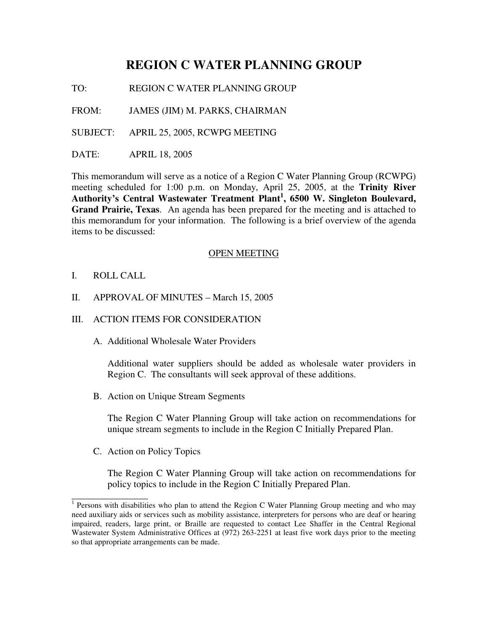# **REGION C WATER PLANNING GROUP**

TO: REGION C WATER PLANNING GROUP

FROM: JAMES (JIM) M. PARKS, CHAIRMAN

SUBJECT: APRIL 25, 2005, RCWPG MEETING

DATE: APRIL 18, 2005

This memorandum will serve as a notice of a Region C Water Planning Group (RCWPG) meeting scheduled for 1:00 p.m. on Monday, April 25, 2005, at the **Trinity River Authority's Central Wastewater Treatment Plant 1 , 6500 W. Singleton Boulevard, Grand Prairie, Texas**. An agenda has been prepared for the meeting and is attached to this memorandum for your information. The following is a brief overview of the agenda items to be discussed:

#### OPEN MEETING

- I. ROLL CALL
- II. APPROVAL OF MINUTES March 15, 2005

# III. ACTION ITEMS FOR CONSIDERATION

A. Additional Wholesale Water Providers

Additional water suppliers should be added as wholesale water providers in Region C. The consultants will seek approval of these additions.

B. Action on Unique Stream Segments

The Region C Water Planning Group will take action on recommendations for unique stream segments to include in the Region C Initially Prepared Plan.

C. Action on Policy Topics

The Region C Water Planning Group will take action on recommendations for policy topics to include in the Region C Initially Prepared Plan.

<sup>&</sup>lt;sup>1</sup> Persons with disabilities who plan to attend the Region C Water Planning Group meeting and who may need auxiliary aids or services such as mobility assistance, interpreters for persons who are deaf or hearing impaired, readers, large print, or Braille are requested to contact Lee Shaffer in the Central Regional Wastewater System Administrative Offices at (972) 263-2251 at least five work days prior to the meeting so that appropriate arrangements can be made.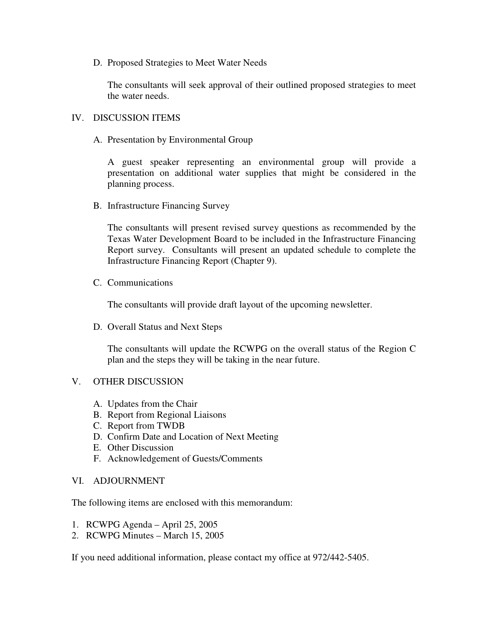D. Proposed Strategies to Meet Water Needs

The consultants will seek approval of their outlined proposed strategies to meet the water needs.

### IV. DISCUSSION ITEMS

A. Presentation by Environmental Group

A guest speaker representing an environmental group will provide a presentation on additional water supplies that might be considered in the planning process.

B. Infrastructure Financing Survey

The consultants will present revised survey questions as recommended by the Texas Water Development Board to be included in the Infrastructure Financing Report survey. Consultants will present an updated schedule to complete the Infrastructure Financing Report (Chapter 9).

C. Communications

The consultants will provide draft layout of the upcoming newsletter.

D. Overall Status and Next Steps

The consultants will update the RCWPG on the overall status of the Region C plan and the steps they will be taking in the near future.

# V. OTHER DISCUSSION

- A. Updates from the Chair
- B. Report from Regional Liaisons
- C. Report from TWDB
- D. Confirm Date and Location of Next Meeting
- E. Other Discussion
- F. Acknowledgement of Guests/Comments

#### VI. ADJOURNMENT

The following items are enclosed with this memorandum:

- 1. RCWPG Agenda April 25, 2005
- 2. RCWPG Minutes March 15, 2005

If you need additional information, please contact my office at 972/442-5405.